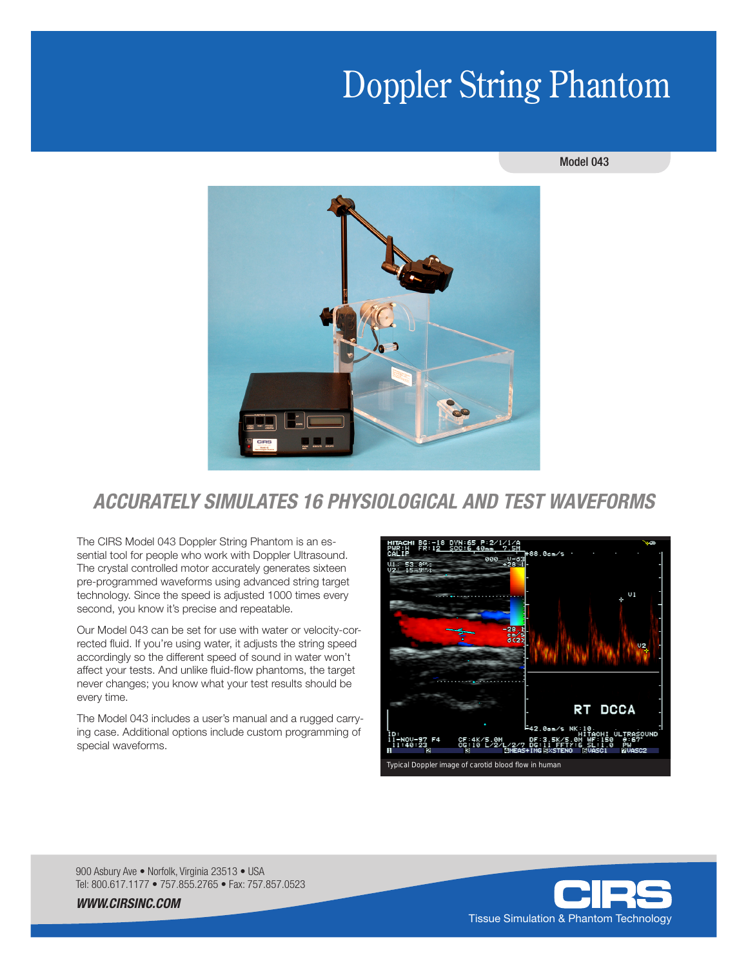# Doppler String Phantom

#### Model 043



# *ACCURATELY SIMULATES 16 PHYSIOLOGICAL AND TEST WAVEFORMS*

The CIRS Model 043 Doppler String Phantom is an essential tool for people who work with Doppler Ultrasound. The crystal controlled motor accurately generates sixteen pre-programmed waveforms using advanced string target technology. Since the speed is adjusted 1000 times every second, you know it's precise and repeatable.

Our Model 043 can be set for use with water or velocity-corrected fluid. If you're using water, it adjusts the string speed accordingly so the different speed of sound in water won't affect your tests. And unlike fluid-flow phantoms, the target never changes; you know what your test results should be every time.

The Model 043 includes a user's manual and a rugged carrying case. Additional options include custom programming of special waveforms.



900 Asbury Ave • Norfolk, Virginia 23513 • USA Tel: 800.617.1177 • 757.855.2765 • Fax: 757.857.0523



*WWW.CIRSINC.COM*